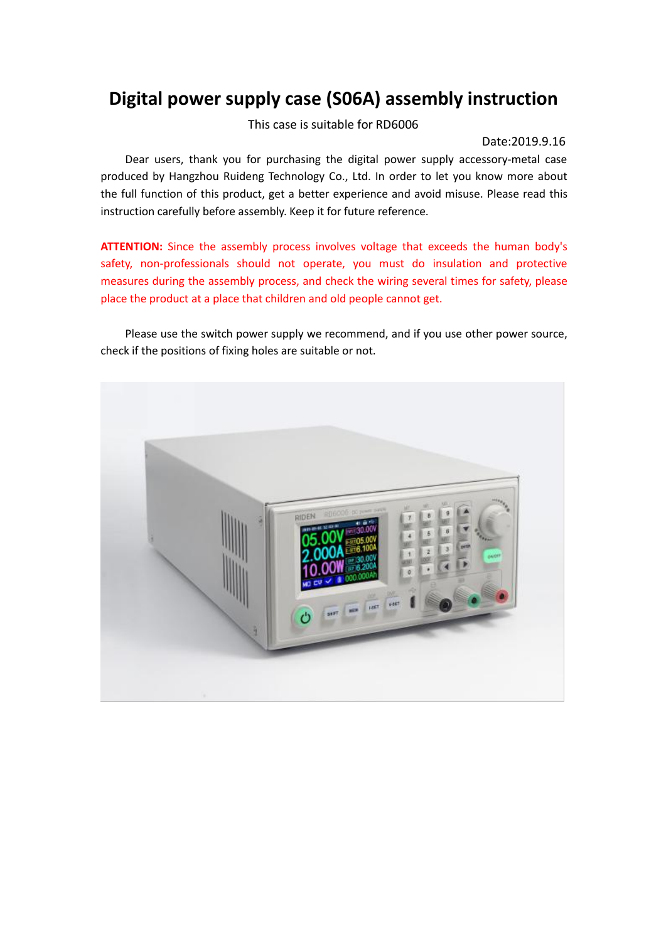# **Digital power supply case (S06A) assembly instruction**

This case is suitable for RD6006

#### Date:2019.9.16

Dear users, thank you for purchasing the digital power supply accessory-metal case produced by Hangzhou Ruideng Technology Co., Ltd.In order to let you know more about the full function of this product, get a better experience and avoid misuse. Please read this instruction carefully before assembly. Keep it for future reference.

**ATTENTION:** Since the assembly process involves voltage that exceeds the human body's safety, non-professionals should not operate, you must do insulation and protective measures during the assembly process, and check the wiring several times for safety, please place the product at a place that children and old people cannot get.

Please use the switch power supply we recommend, and if you use other power source, check if the positions of fixing holes are suitable or not.

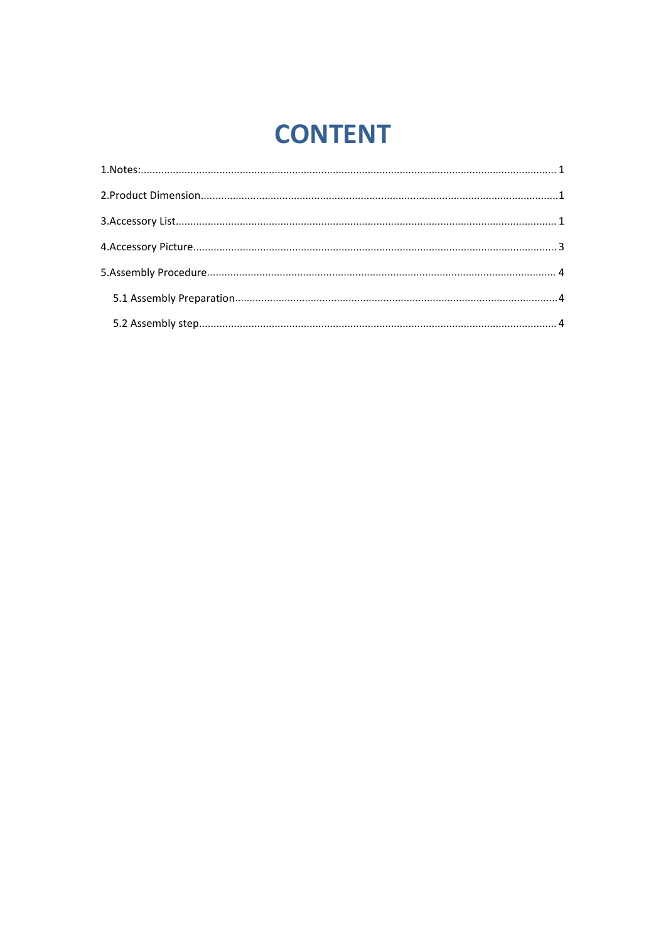# **CONTENT**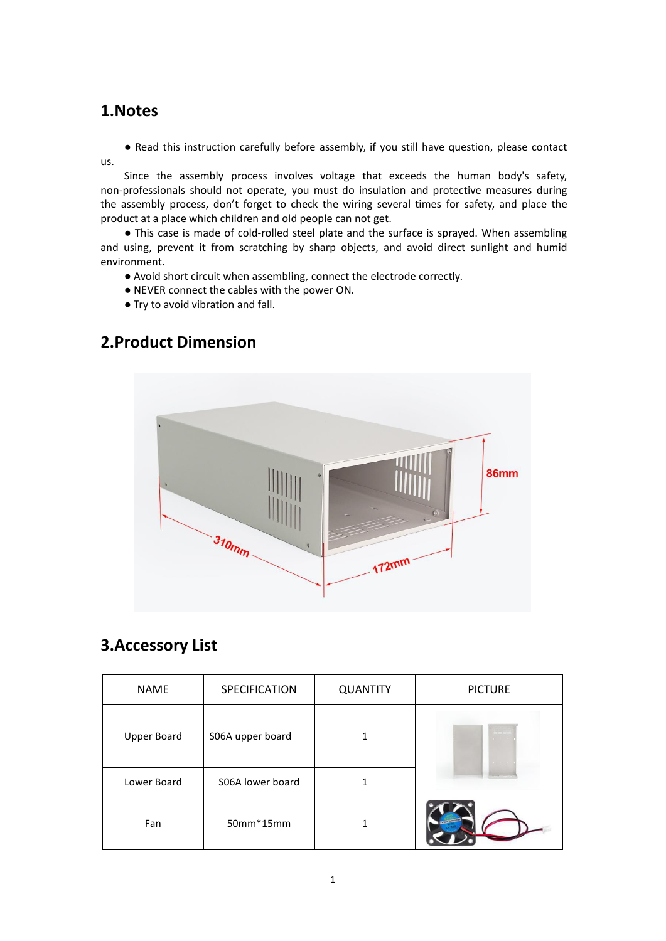#### <span id="page-2-0"></span>**1.Notes**

● Read this instruction carefully before assembly, if you still have question, please contact us.

Since the assembly process involves voltage that exceeds the human body's safety, non-professionals should not operate, you must do insulation and protective measures during the assembly process, don't forget to check the wiring several times for safety, and place the product at a place which children and old people can not get.

● This case is made of cold-rolled steel plate and the surface is sprayed.When assembling and using, prevent it from scratching by sharp objects, and avoid direct sunlight and humid environment.

● Avoid short circuit when assembling, connect the electrode correctly.

- NEVER connect the cables with the power ON. Try to avoid vibration and fall.
- 

# **86mm** 310mm  $172$ mm

## <span id="page-2-1"></span>**2.Product Dimension**

### <span id="page-2-2"></span>**3.Accessory List**

| <b>NAME</b>        | SPECIFICATION    | <b>QUANTITY</b> | <b>PICTURE</b> |
|--------------------|------------------|-----------------|----------------|
| <b>Upper Board</b> | S06A upper board |                 | 33.            |
| Lower Board        | S06A lower board |                 |                |
| Fan                | 50mm*15mm        |                 |                |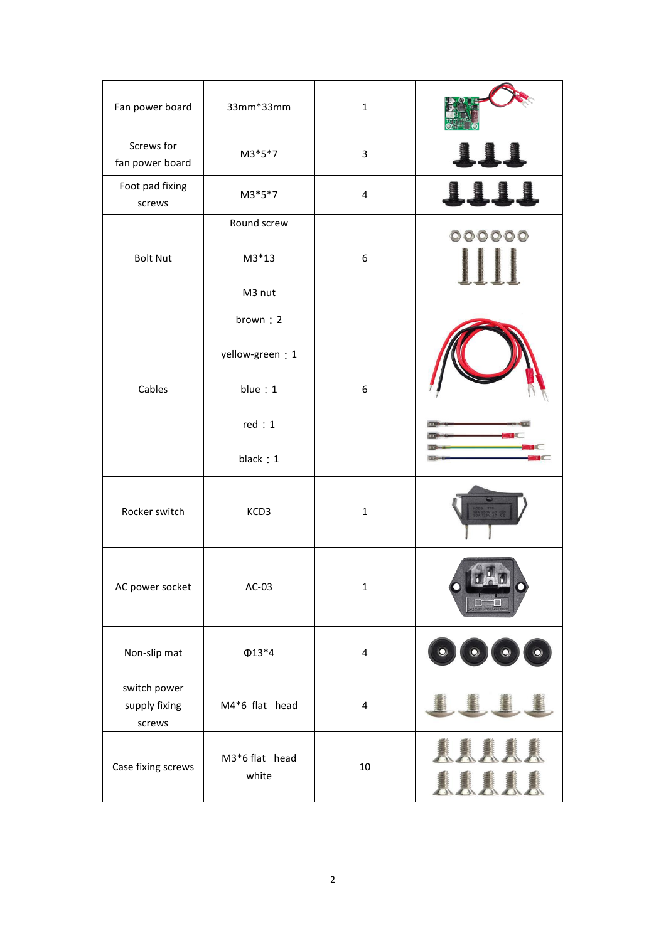| Fan power board                         | 33mm*33mm                                                     | $\mathbf{1}$            |                             |
|-----------------------------------------|---------------------------------------------------------------|-------------------------|-----------------------------|
| Screws for<br>fan power board           | $M3*5*7$                                                      | 3                       | 111                         |
| Foot pad fixing<br>screws               | M3*5*7                                                        | 4                       | 1111                        |
| <b>Bolt Nut</b>                         | Round screw<br>$M3*13$<br>M3 nut                              | 6                       | 000000                      |
| Cables                                  | brown: 2<br>yellow-green: 1<br>blue:1<br>red: 1<br>black: $1$ | 6                       |                             |
| Rocker switch                           | KCD3                                                          | $\mathbf 1$             |                             |
| AC power socket                         | $AC-03$                                                       | $\mathbf{1}$            |                             |
| Non-slip mat                            | $\Phi$ 13*4                                                   | $\overline{\mathbf{4}}$ | $\bullet$                   |
| switch power<br>supply fixing<br>screws | M4*6 flat head                                                | $\overline{\mathbf{4}}$ |                             |
| Case fixing screws                      | M3*6 flat head<br>white                                       | $10\,$                  | <u>AAAA</u><br><u>AAAA.</u> |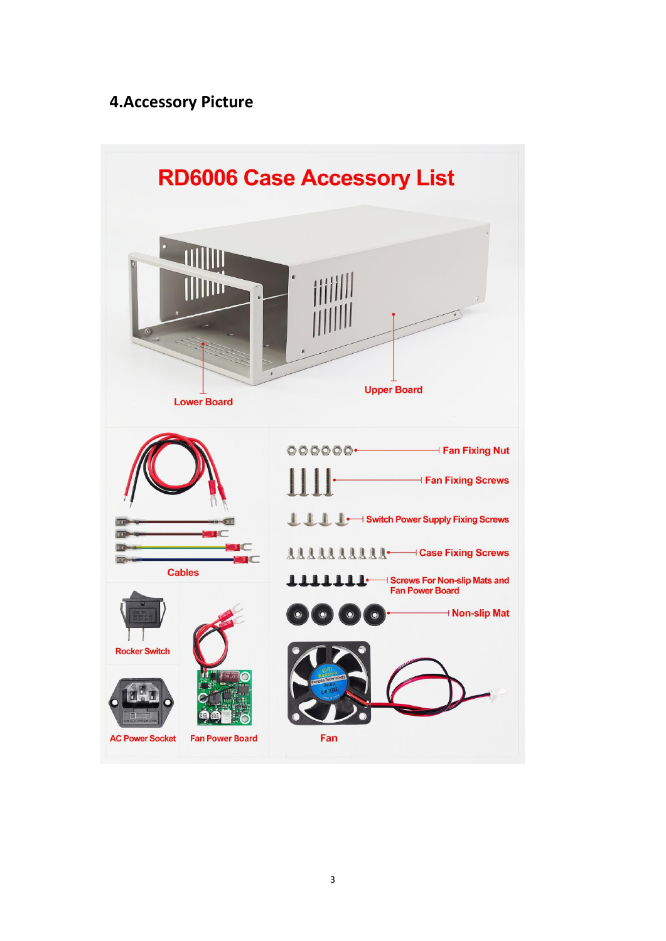### <span id="page-4-0"></span>**4.Accessory Picture**

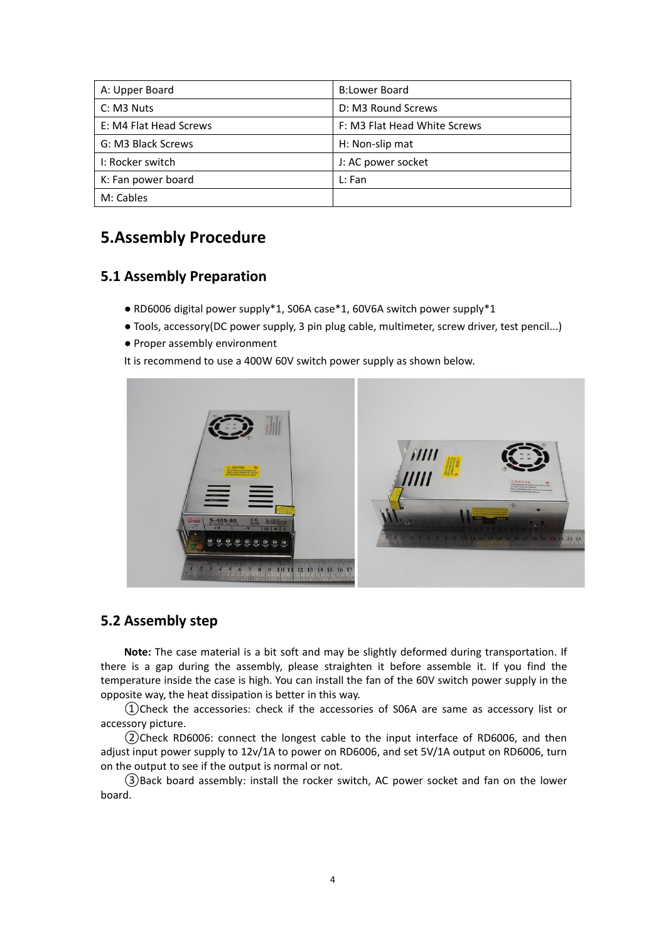| A: Upper Board         | <b>B:Lower Board</b>         |
|------------------------|------------------------------|
| C: M3 Nuts             | D: M3 Round Screws           |
| E: M4 Flat Head Screws | F: M3 Flat Head White Screws |
| G: M3 Black Screws     | H: Non-slip mat              |
| I: Rocker switch       | J: AC power socket           |
| K: Fan power board     | L: Fan                       |
| M: Cables              |                              |

#### <span id="page-5-0"></span>**5.Assembly Procedure**

#### <span id="page-5-1"></span>**5.1 Assembly Preparation**

- RD6006 digital power supply\*1, S06A case\*1, 60V6A switch power supply\*1
- Tools, accessory(DC power supply, 3 pin plug cable, multimeter, screw driver, test pencil...)
- Proper assembly environment

It is recommend to use a 400W 60V switch power supply as shown below.



#### <span id="page-5-2"></span>**5.2 Assembly step**

**Note:** The case material is a bit soft and may be slightly deformed during transportation. If there is a gap during the assembly, please straighten it before assemble it. If you find the temperature inside the case is high. You can install the fan of the 60V switch power supply in the opposite way, the heat dissipation is better in this way.

①Check the accessories: check if the accessories of S06A are same as accessory list or accessory picture.

②Check RD6006: connect the longest cable to the input interface of RD6006, and then adjust input power supply to 12v/1A to power on RD6006, and set 5V/1A output on RD6006, turn on the output to see if the output is normal or not.

③Back board assembly: install the rocker switch, AC power socket and fan on the lower board.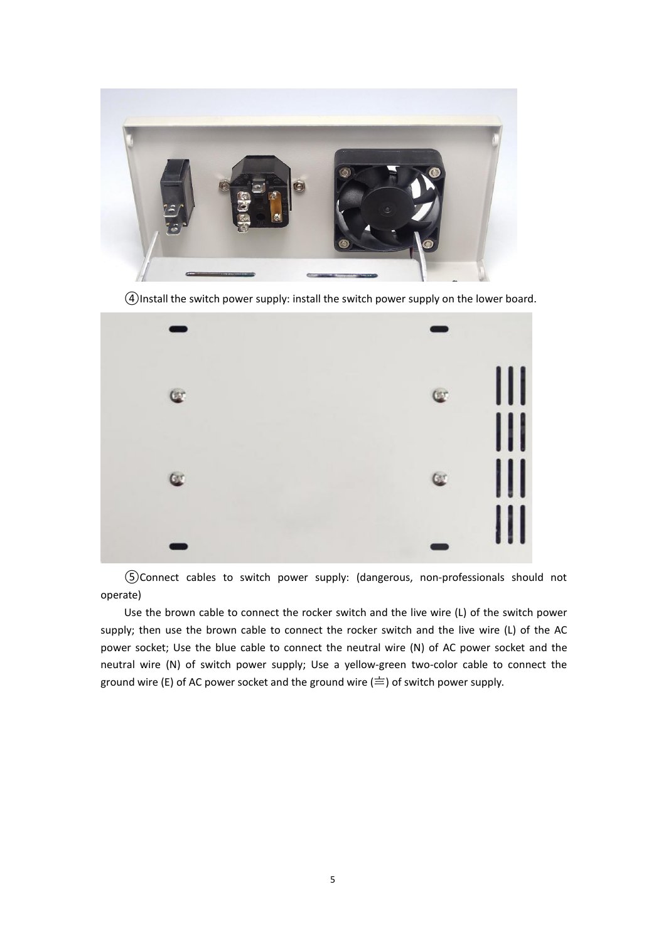

④Install the switch power supply: install the switch power supply on the lower board.



⑤Connect cables to switch power supply: (dangerous, non-professionals should not operate)

Use the brown cable to connect the rocker switch and the live wire (L) of the switch power supply; then use the brown cable to connect the rocker switch and the live wire (L) of the AC power socket; Use the blue cable to connect the neutral wire (N) of AC power socket and the neutral wire (N) of switch power supply; Use a yellow-green two-color cable to connect the ground wire (E) of AC power socket and the ground wire  $(\equiv)$  of switch power supply.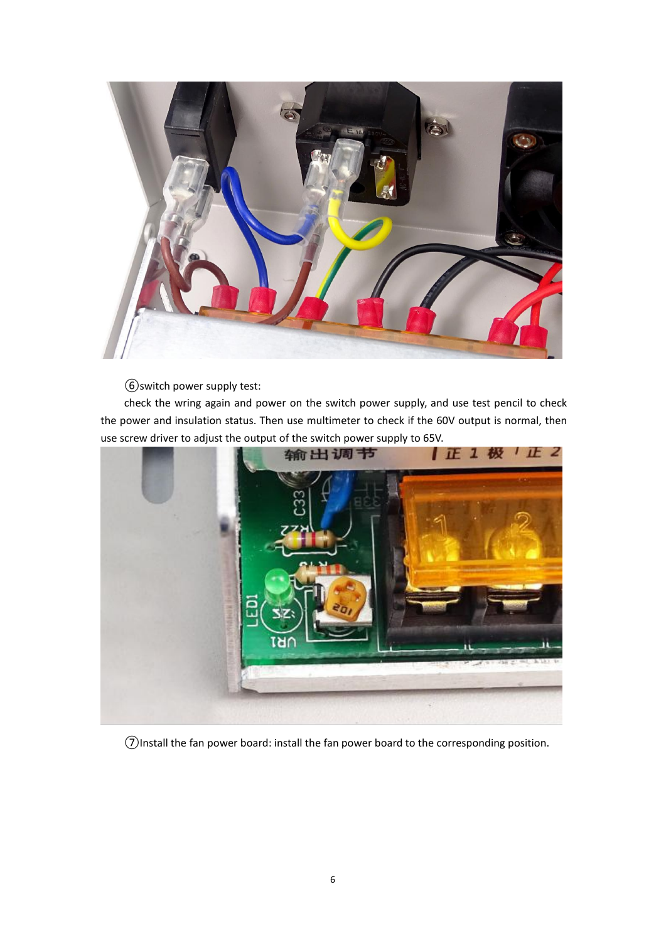

⑥switch power supply test:

check the wring again and power on the switch power supply, and use test pencil to check the power and insulation status. Then use multimeter to check if the 60V output is normal, then use screw driver to adjust the output of the switch power supply to 65V.



⑦Install the fan power board: install the fan power board to the corresponding position.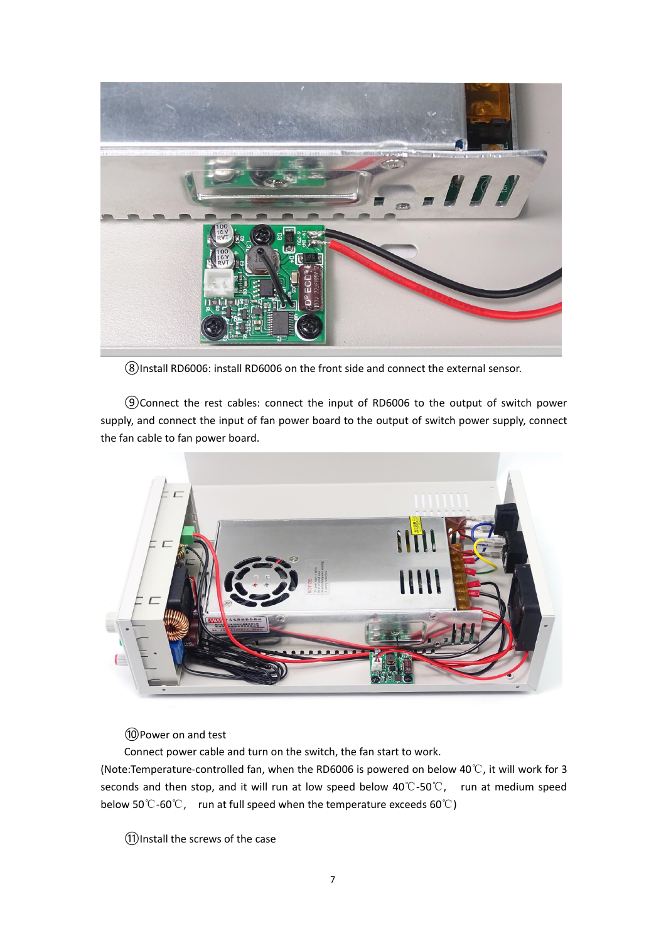

⑧Install RD6006: install RD6006 on the front side and connect the external sensor.

⑨Connect the rest cables: connect the input of RD6006 to the outputof switch power supply, and connect the input of fan power board to the output of switch power supply, connect the fan cable to fan power board.



⑩Power on and test

Connect power cable and turn on the switch, the fan start to work.

(Note:Temperature-controlled fan, when the RD6006 is powered on below 40℃, it will work for 3 seconds and then stop, and it will run at low speed below 40℃-50℃, run at medium speed below 50℃-60℃, run at full speed when the temperature exceeds 60℃)

⑪Install the screws of the case